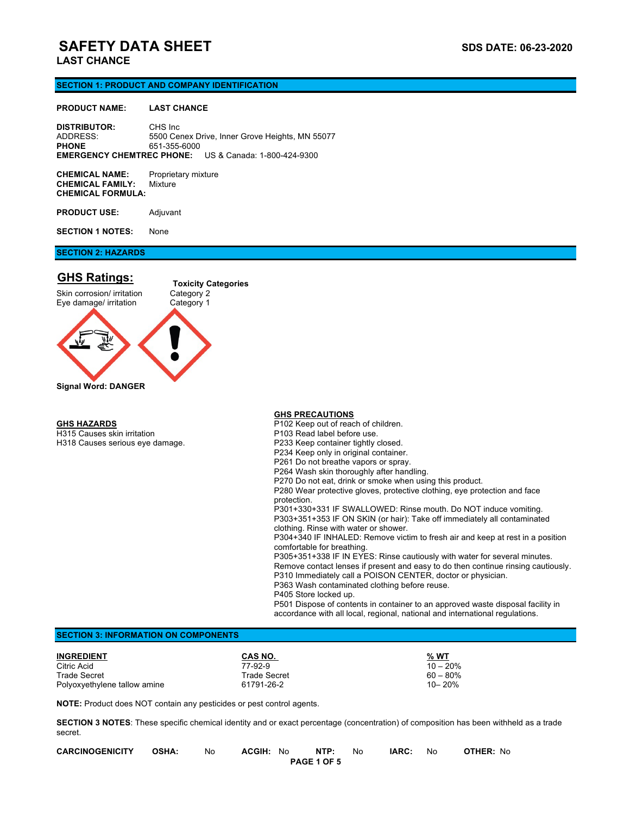## **SAFETY DATA SHEET SAFETY DATA SHEET LAST CHANCE**

## **SECTION 1: PRODUCT AND COMPANY IDENTIFICATION**

#### **PRODUCT NAME: LAST CHANCE**

**DISTRIBUTOR:** CHS Inc<br>ADDRESS: 5500 Ce 5500 Cenex Drive, Inner Grove Heights, MN 55077 **PHONE** 651-355-6000 **EMERGENCY CHEMTREC PHONE:** US & Canada: 1-800-424-9300

**CHEMICAL NAME:** Proprietary mixture **CHEMICAL FAMILY:** Mixture **CHEMICAL FORMULA:**

**PRODUCT USE:** Adjuvant

**SECTION 1 NOTES:** None

## **SECTION 2: HAZARDS**

## **GHS Ratings:**



#### **GHS HAZARDS**

H315 Causes skin irritation H318 Causes serious eye damage.

#### **GHS PRECAUTIONS**

P102 Keep out of reach of children. P103 Read label before use. P233 Keep container tightly closed. P234 Keep only in original container. P261 Do not breathe vapors or spray. P264 Wash skin thoroughly after handling. P270 Do not eat, drink or smoke when using this product. P280 Wear protective gloves, protective clothing, eye protection and face protection. P301+330+331 IF SWALLOWED: Rinse mouth. Do NOT induce vomiting. P303+351+353 IF ON SKIN (or hair): Take off immediately all contaminated clothing. Rinse with water or shower. P304+340 IF INHALED: Remove victim to fresh air and keep at rest in a position comfortable for breathing. P305+351+338 IF IN EYES: Rinse cautiously with water for several minutes. Remove contact lenses if present and easy to do then continue rinsing cautiously. P310 Immediately call a POISON CENTER, doctor or physician. P363 Wash contaminated clothing before reuse. P405 Store locked up. P501 Dispose of contents in container to an approved waste disposal facility in accordance with all local, regional, national and international regulations.

### **SECTION 3: INFORMATION ON COMPONENTS**

| <b>INGREDIENT</b>            | CAS NO.      | % WT        |
|------------------------------|--------------|-------------|
| Citric Acid                  | 77-92-9      | $10 - 20\%$ |
| Trade Secret                 | Trade Secret | 60 – 80%    |
| Polyoxyethylene tallow amine | 61791-26-2   | 10-20%      |

**NOTE:** Product does NOT contain any pesticides or pest control agents.

**SECTION 3 NOTES**: These specific chemical identity and or exact percentage (concentration) of composition has been withheld as a trade secret.

| <b>CARCINOGENICITY</b> | <b>OSHA:</b> | No | <b>ACGIH:</b><br>No | NTP:               | No | IARC: | No | <b>OTHER: No</b> |
|------------------------|--------------|----|---------------------|--------------------|----|-------|----|------------------|
|                        |              |    |                     | <b>PAGE 1 OF 5</b> |    |       |    |                  |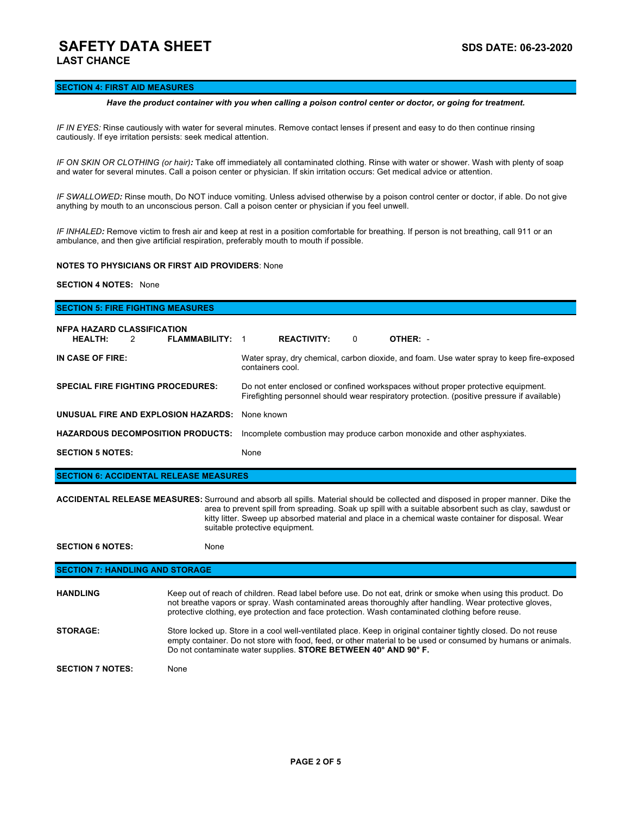## **SAFETY DATA SHEET SAFETY DATA SHEET LAST CHANCE**

### **SECTION 4: FIRST AID MEASURES**

#### *Have the product container with you when calling a poison control center or doctor, or going for treatment.*

*IF IN EYES:* Rinse cautiously with water for several minutes. Remove contact lenses if present and easy to do then continue rinsing cautiously. If eye irritation persists: seek medical attention.

*IF ON SKIN OR CLOTHING (or hair):* Take off immediately all contaminated clothing. Rinse with water or shower. Wash with plenty of soap and water for several minutes. Call a poison center or physician. If skin irritation occurs: Get medical advice or attention.

*IF SWALLOWED:* Rinse mouth, Do NOT induce vomiting. Unless advised otherwise by a poison control center or doctor, if able. Do not give anything by mouth to an unconscious person. Call a poison center or physician if you feel unwell.

*IF INHALED:* Remove victim to fresh air and keep at rest in a position comfortable for breathing. If person is not breathing, call 911 or an ambulance, and then give artificial respiration, preferably mouth to mouth if possible.

## **NOTES TO PHYSICIANS OR FIRST AID PROVIDERS**: None

#### **SECTION 4 NOTES:** None

# **SECTION 5: FIRE FIGHTING MEASURES NFPA HAZARD CLASSIFICATION HEALTH:** 2 **FLAMMABILITY:** 1 **REACTIVITY:** 0 **OTHER:** - **IN CASE OF FIRE:** Water spray, dry chemical, carbon dioxide, and foam. Use water spray to keep fire-exposed containers cool. **SPECIAL FIRE FIGHTING PROCEDURES: SPECIAL FIRE FIGHTING PROCEDURES:** Do not enter enclosed or confined workspaces without proper protective equipment. Firefighting personnel should wear respiratory protection. (positive pressure if available) **UNUSUAL FIRE AND EXPLOSION HAZARDS:** None known **HAZARDOUS DECOMPOSITION PRODUCTS:** Incomplete combustion may produce carbon monoxide and other asphyxiates. **SECTION 5 NOTES:** None

**SECTION 6: ACCIDENTAL RELEASE MEASURES**

**ACCIDENTAL RELEASE MEASURES:** Surround and absorb all spills. Material should be collected and disposed in proper manner. Dike the area to prevent spill from spreading. Soak up spill with a suitable absorbent such as clay, sawdust or kitty litter. Sweep up absorbed material and place in a chemical waste container for disposal. Wear suitable protective equipment.

**SECTION 6 NOTES:** None

## **SECTION 7: HANDLING AND STORAGE**

| <b>HANDLING</b>         | Keep out of reach of children. Read label before use. Do not eat, drink or smoke when using this product. Do<br>not breathe vapors or spray. Wash contaminated areas thoroughly after handling. Wear protective gloves,<br>protective clothing, eye protection and face protection. Wash contaminated clothing before reuse. |
|-------------------------|------------------------------------------------------------------------------------------------------------------------------------------------------------------------------------------------------------------------------------------------------------------------------------------------------------------------------|
| <b>STORAGE:</b>         | Store locked up. Store in a cool well-ventilated place. Keep in original container tightly closed. Do not reuse<br>empty container. Do not store with food, feed, or other material to be used or consumed by humans or animals.<br>Do not contaminate water supplies. STORE BETWEEN 40° AND 90° F.                          |
| <b>SECTION 7 NOTES:</b> | None                                                                                                                                                                                                                                                                                                                         |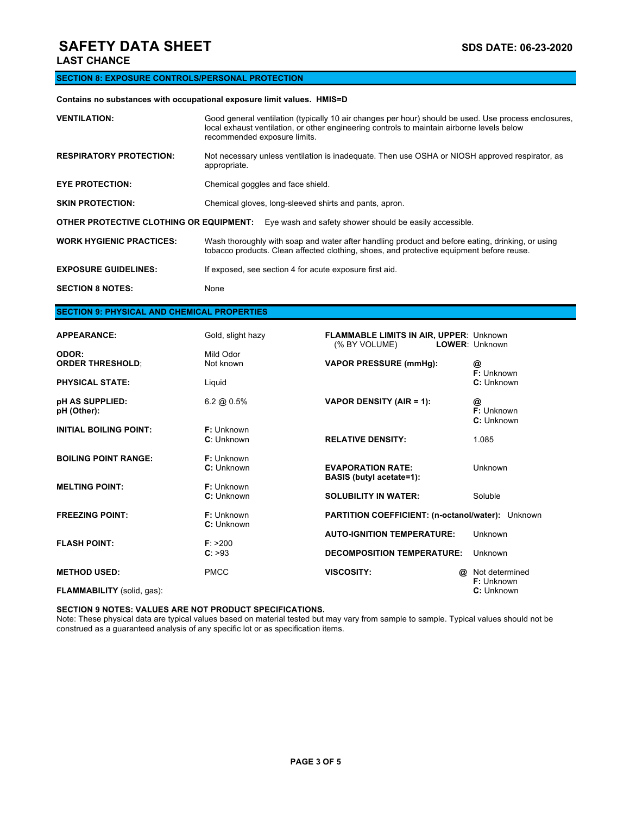# **SAFETY DATA SHEET** SAFETY **DATA** SHEET

## **SECTION 8: EXPOSURE CONTROLS/PERSONAL PROTECTION**

## **Contains no substances with occupational exposure limit values. HMIS=D**

| <b>VENTILATION:</b>                                                                                | Good general ventilation (typically 10 air changes per hour) should be used. Use process enclosures,<br>local exhaust ventilation, or other engineering controls to maintain airborne levels below<br>recommended exposure limits. |  |  |
|----------------------------------------------------------------------------------------------------|------------------------------------------------------------------------------------------------------------------------------------------------------------------------------------------------------------------------------------|--|--|
| <b>RESPIRATORY PROTECTION:</b>                                                                     | Not necessary unless ventilation is inadequate. Then use OSHA or NIOSH approved respirator, as<br>appropriate.                                                                                                                     |  |  |
| <b>EYE PROTECTION:</b>                                                                             | Chemical goggles and face shield.                                                                                                                                                                                                  |  |  |
| <b>SKIN PROTECTION:</b>                                                                            | Chemical gloves, long-sleeved shirts and pants, apron.                                                                                                                                                                             |  |  |
| OTHER PROTECTIVE CLOTHING OR EQUIPMENT:<br>Eye wash and safety shower should be easily accessible. |                                                                                                                                                                                                                                    |  |  |
| <b>WORK HYGIENIC PRACTICES:</b>                                                                    | Wash thoroughly with soap and water after handling product and before eating, drinking, or using<br>tobacco products. Clean affected clothing, shoes, and protective equipment before reuse.                                       |  |  |
| <b>EXPOSURE GUIDELINES:</b>                                                                        | If exposed, see section 4 for acute exposure first aid.                                                                                                                                                                            |  |  |
| <b>SECTION 8 NOTES:</b>                                                                            | None                                                                                                                                                                                                                               |  |  |

## **SECTION 9: PHYSICAL AND CHEMICAL PROPERTIES**

| <b>APPEARANCE:</b>                | Gold, slight hazy | <b>FLAMMABLE LIMITS IN AIR, UPPER: Unknown</b><br>(% BY VOLUME) |          | LOWER: Unknown |  |
|-----------------------------------|-------------------|-----------------------------------------------------------------|----------|----------------|--|
| ODOR:                             | Mild Odor         |                                                                 |          |                |  |
| <b>ORDER THRESHOLD;</b>           | Not known         | <b>VAPOR PRESSURE (mmHg):</b>                                   |          | @              |  |
|                                   |                   |                                                                 |          | F: Unknown     |  |
|                                   |                   |                                                                 |          |                |  |
| <b>PHYSICAL STATE:</b>            | Liquid            |                                                                 |          | C: Unknown     |  |
| pH AS SUPPLIED:                   | 6.2 @ $0.5%$      | VAPOR DENSITY (AIR = 1):                                        |          | @              |  |
| pH (Other):                       |                   |                                                                 |          | F: Unknown     |  |
|                                   |                   |                                                                 |          |                |  |
|                                   |                   |                                                                 |          | C: Unknown     |  |
| <b>INITIAL BOILING POINT:</b>     | $F:$ Unknown      |                                                                 |          |                |  |
|                                   | C: Unknown        | <b>RELATIVE DENSITY:</b>                                        |          | 1.085          |  |
| <b>BOILING POINT RANGE:</b>       | F: Unknown        |                                                                 |          |                |  |
|                                   | C: Unknown        | <b>EVAPORATION RATE:</b>                                        |          | Unknown        |  |
|                                   |                   | <b>BASIS</b> (butyl acetate=1):                                 |          |                |  |
|                                   |                   |                                                                 |          |                |  |
| <b>MELTING POINT:</b>             | F: Unknown        |                                                                 |          |                |  |
|                                   | C: Unknown        | <b>SOLUBILITY IN WATER:</b>                                     |          | Soluble        |  |
| <b>FREEZING POINT:</b>            | F: Unknown        | PARTITION COEFFICIENT: (n-octanol/water): Unknown               |          |                |  |
|                                   | C: Unknown        |                                                                 |          |                |  |
|                                   |                   | <b>AUTO-IGNITION TEMPERATURE:</b>                               |          | Unknown        |  |
| <b>FLASH POINT:</b>               | F: > 200          |                                                                 |          |                |  |
|                                   |                   |                                                                 |          |                |  |
|                                   | C: >93            | <b>DECOMPOSITION TEMPERATURE:</b>                               |          | Unknown        |  |
| <b>METHOD USED:</b>               | <b>PMCC</b>       | <b>VISCOSITY:</b>                                               | $\omega$ | Not determined |  |
|                                   |                   |                                                                 |          | F: Unknown     |  |
|                                   |                   |                                                                 |          |                |  |
| <b>FLAMMABILITY</b> (solid, gas): |                   |                                                                 |          | C: Unknown     |  |

## **SECTION 9 NOTES: VALUES ARE NOT PRODUCT SPECIFICATIONS.**

Note: These physical data are typical values based on material tested but may vary from sample to sample. Typical values should not be construed as a guaranteed analysis of any specific lot or as specification items.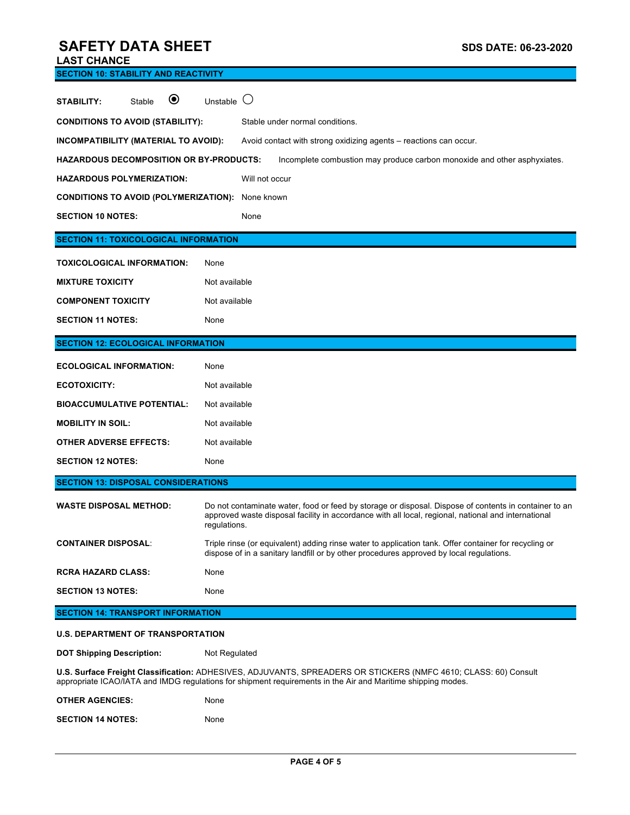# **SAFETY DATA SHEET SAFETY DATA SHEET**

|  | <b>LAST CHANCE</b> |  |
|--|--------------------|--|
|  |                    |  |

| <b>SECTION 10: STABILITY AND REACTIVITY</b>                                                                                                                                                                                     |                                                                                                                                                                                                                              |  |  |
|---------------------------------------------------------------------------------------------------------------------------------------------------------------------------------------------------------------------------------|------------------------------------------------------------------------------------------------------------------------------------------------------------------------------------------------------------------------------|--|--|
| $\boldsymbol{\circledbullet}$<br>Stable<br><b>STABILITY:</b>                                                                                                                                                                    | Unstable                                                                                                                                                                                                                     |  |  |
| <b>CONDITIONS TO AVOID (STABILITY):</b>                                                                                                                                                                                         | Stable under normal conditions.                                                                                                                                                                                              |  |  |
| INCOMPATIBILITY (MATERIAL TO AVOID):                                                                                                                                                                                            | Avoid contact with strong oxidizing agents - reactions can occur.                                                                                                                                                            |  |  |
| <b>HAZARDOUS DECOMPOSITION OR BY-PRODUCTS:</b>                                                                                                                                                                                  | Incomplete combustion may produce carbon monoxide and other asphyxiates.                                                                                                                                                     |  |  |
| <b>HAZARDOUS POLYMERIZATION:</b>                                                                                                                                                                                                | Will not occur                                                                                                                                                                                                               |  |  |
| <b>CONDITIONS TO AVOID (POLYMERIZATION):</b>                                                                                                                                                                                    | None known                                                                                                                                                                                                                   |  |  |
| <b>SECTION 10 NOTES:</b>                                                                                                                                                                                                        | None                                                                                                                                                                                                                         |  |  |
| <b>SECTION 11: TOXICOLOGICAL INFORMATION</b>                                                                                                                                                                                    |                                                                                                                                                                                                                              |  |  |
| TOXICOLOGICAL INFORMATION:                                                                                                                                                                                                      | None                                                                                                                                                                                                                         |  |  |
| <b>MIXTURE TOXICITY</b>                                                                                                                                                                                                         | Not available                                                                                                                                                                                                                |  |  |
| <b>COMPONENT TOXICITY</b>                                                                                                                                                                                                       | Not available                                                                                                                                                                                                                |  |  |
| <b>SECTION 11 NOTES:</b>                                                                                                                                                                                                        | None                                                                                                                                                                                                                         |  |  |
| <b>SECTION 12: ECOLOGICAL INFORMATION</b>                                                                                                                                                                                       |                                                                                                                                                                                                                              |  |  |
| <b>ECOLOGICAL INFORMATION:</b>                                                                                                                                                                                                  | None                                                                                                                                                                                                                         |  |  |
| <b>ECOTOXICITY:</b>                                                                                                                                                                                                             | Not available                                                                                                                                                                                                                |  |  |
| <b>BIOACCUMULATIVE POTENTIAL:</b>                                                                                                                                                                                               | Not available                                                                                                                                                                                                                |  |  |
| <b>MOBILITY IN SOIL:</b>                                                                                                                                                                                                        | Not available                                                                                                                                                                                                                |  |  |
| <b>OTHER ADVERSE EFFECTS:</b>                                                                                                                                                                                                   | Not available                                                                                                                                                                                                                |  |  |
| <b>SECTION 12 NOTES:</b>                                                                                                                                                                                                        | None                                                                                                                                                                                                                         |  |  |
| <b>SECTION 13: DISPOSAL CONSIDERATIONS</b>                                                                                                                                                                                      |                                                                                                                                                                                                                              |  |  |
| <b>WASTE DISPOSAL METHOD:</b>                                                                                                                                                                                                   | Do not contaminate water, food or feed by storage or disposal. Dispose of contents in container to an<br>approved waste disposal facility in accordance with all local, regional, national and international<br>regulations. |  |  |
| <b>CONTAINER DISPOSAL:</b>                                                                                                                                                                                                      | Triple rinse (or equivalent) adding rinse water to application tank. Offer container for recycling or<br>dispose of in a sanitary landfill or by other procedures approved by local regulations.                             |  |  |
| <b>RCRA HAZARD CLASS:</b>                                                                                                                                                                                                       | None                                                                                                                                                                                                                         |  |  |
| <b>SECTION 13 NOTES:</b>                                                                                                                                                                                                        | None                                                                                                                                                                                                                         |  |  |
| <b>SECTION 14: TRANSPORT INFORMATION</b>                                                                                                                                                                                        |                                                                                                                                                                                                                              |  |  |
| <b>U.S. DEPARTMENT OF TRANSPORTATION</b>                                                                                                                                                                                        |                                                                                                                                                                                                                              |  |  |
| <b>DOT Shipping Description:</b>                                                                                                                                                                                                | Not Regulated                                                                                                                                                                                                                |  |  |
| U.S. Surface Freight Classification: ADHESIVES, ADJUVANTS, SPREADERS OR STICKERS (NMFC 4610; CLASS: 60) Consult<br>appropriate ICAO/IATA and IMDG regulations for shipment requirements in the Air and Maritime shipping modes. |                                                                                                                                                                                                                              |  |  |
| <b>OTHER AGENCIES:</b>                                                                                                                                                                                                          | None                                                                                                                                                                                                                         |  |  |
| <b>SECTION 14 NOTES:</b>                                                                                                                                                                                                        | None                                                                                                                                                                                                                         |  |  |